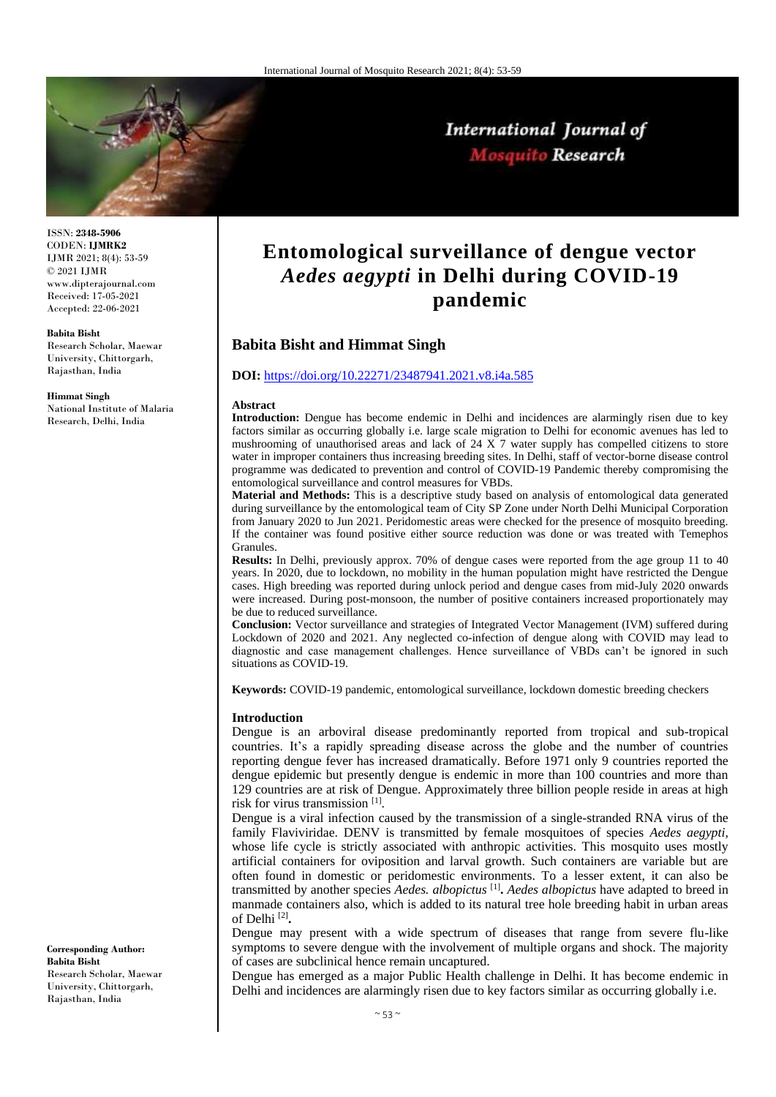

# International Journal of Mosquito Research

ISSN: **2348-5906** CODEN: **IJMRK2** IJMR 2021; 8(4): 53-59 © 2021 IJMR www.dipterajournal.com Received: 17-05-2021 Accepted: 22-06-2021

#### **Babita Bisht**

Research Scholar, Maewar University, Chittorgarh, Rajasthan, India

#### **Himmat Singh**

National Institute of Malaria Research, Delhi, India

**Entomological surveillance of dengue vector**  *Aedes aegypti* **in Delhi during COVID-19 pandemic**

# **Babita Bisht and Himmat Singh**

#### **DOI:** <https://doi.org/10.22271/23487941.2021.v8.i4a.585>

#### **Abstract**

**Introduction:** Dengue has become endemic in Delhi and incidences are alarmingly risen due to key factors similar as occurring globally i.e. large scale migration to Delhi for economic avenues has led to mushrooming of unauthorised areas and lack of 24  $\overline{X}$  7 water supply has compelled citizens to store water in improper containers thus increasing breeding sites. In Delhi, staff of vector-borne disease control programme was dedicated to prevention and control of COVID-19 Pandemic thereby compromising the entomological surveillance and control measures for VBDs.

**Material and Methods:** This is a descriptive study based on analysis of entomological data generated during surveillance by the entomological team of City SP Zone under North Delhi Municipal Corporation from January 2020 to Jun 2021. Peridomestic areas were checked for the presence of mosquito breeding. If the container was found positive either source reduction was done or was treated with Temephos Granules.

**Results:** In Delhi, previously approx. 70% of dengue cases were reported from the age group 11 to 40 years. In 2020, due to lockdown, no mobility in the human population might have restricted the Dengue cases. High breeding was reported during unlock period and dengue cases from mid-July 2020 onwards were increased. During post-monsoon, the number of positive containers increased proportionately may be due to reduced surveillance.

**Conclusion:** Vector surveillance and strategies of Integrated Vector Management (IVM) suffered during Lockdown of 2020 and 2021. Any neglected co-infection of dengue along with COVID may lead to diagnostic and case management challenges. Hence surveillance of VBDs can't be ignored in such situations as COVID-19.

**Keywords:** COVID-19 pandemic, entomological surveillance, lockdown domestic breeding checkers

#### **Introduction**

Dengue is an arboviral disease predominantly reported from tropical and sub-tropical countries. It's a rapidly spreading disease across the globe and the number of countries reporting dengue fever has increased dramatically. Before 1971 only 9 countries reported the dengue epidemic but presently dengue is endemic in more than 100 countries and more than 129 countries are at risk of Dengue. Approximately three billion people reside in areas at high risk for virus transmission<sup>[1]</sup>.

Dengue is a viral infection caused by the transmission of a single-stranded RNA virus of the family Flaviviridae. DENV is transmitted by female mosquitoes of species *Aedes aegypti,* whose life cycle is strictly associated with anthropic activities. This mosquito uses mostly artificial containers for oviposition and larval growth. Such containers are variable but are often found in domestic or peridomestic environments. To a lesser extent, it can also be transmitted by another species *Aedes. albopictus* [1] **.** *Aedes albopictus* have adapted to breed in manmade containers also, which is added to its natural tree hole breeding habit in urban areas of Delhi [2] **.**

Dengue may present with a wide spectrum of diseases that range from severe flu-like symptoms to severe dengue with the involvement of multiple organs and shock. The majority of cases are subclinical hence remain uncaptured.

Dengue has emerged as a major Public Health challenge in Delhi. It has become endemic in Delhi and incidences are alarmingly risen due to key factors similar as occurring globally i.e.

**Corresponding Author: Babita Bisht**  Research Scholar, Maewar University, Chittorgarh, Rajasthan, India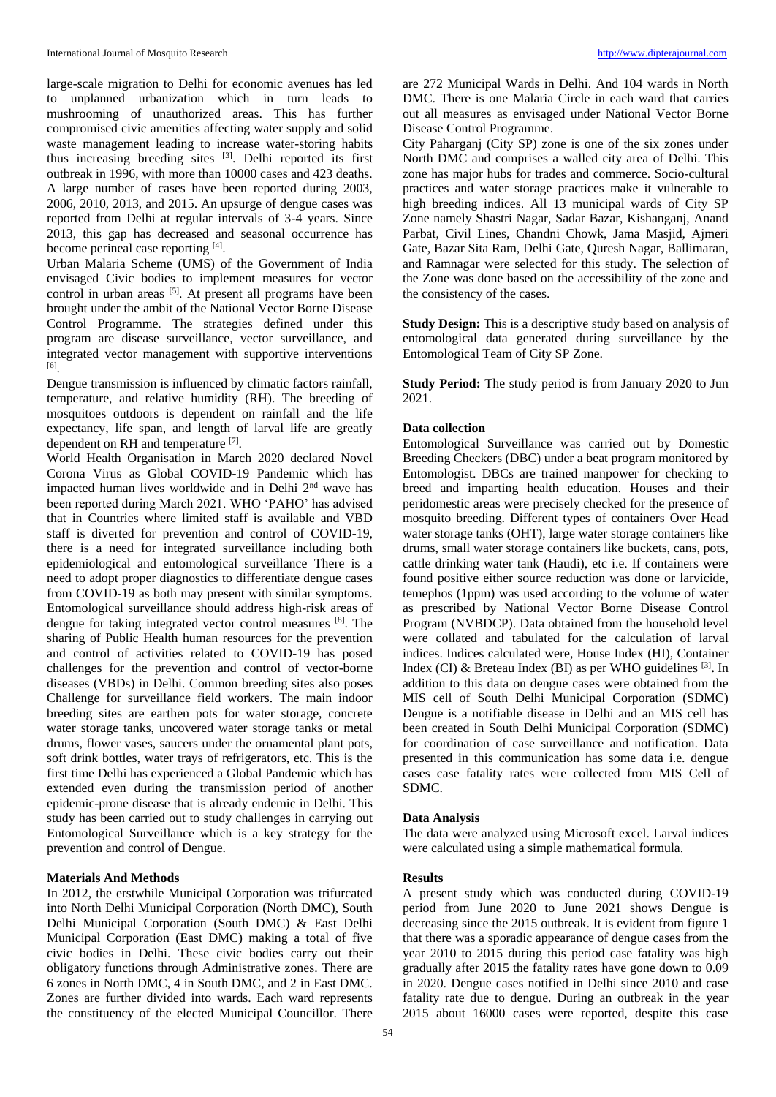large-scale migration to Delhi for economic avenues has led to unplanned urbanization which in turn leads to mushrooming of unauthorized areas. This has further compromised civic amenities affecting water supply and solid waste management leading to increase water-storing habits thus increasing breeding sites [3]. Delhi reported its first outbreak in 1996, with more than 10000 cases and 423 deaths. A large number of cases have been reported during 2003, 2006, 2010, 2013, and 2015. An upsurge of dengue cases was reported from Delhi at regular intervals of 3-4 years. Since 2013, this gap has decreased and seasonal occurrence has become perineal case reporting [4].

Urban Malaria Scheme (UMS) of the Government of India envisaged Civic bodies to implement measures for vector control in urban areas <sup>[5]</sup>. At present all programs have been brought under the ambit of the National Vector Borne Disease Control Programme. The strategies defined under this program are disease surveillance, vector surveillance, and integrated vector management with supportive interventions [6] .

Dengue transmission is influenced by climatic factors rainfall, temperature, and relative humidity (RH). The breeding of mosquitoes outdoors is dependent on rainfall and the life expectancy, life span, and length of larval life are greatly dependent on RH and temperature [7].

World Health Organisation in March 2020 declared Novel Corona Virus as Global COVID-19 Pandemic which has impacted human lives worldwide and in Delhi 2<sup>nd</sup> wave has been reported during March 2021. WHO 'PAHO' has advised that in Countries where limited staff is available and VBD staff is diverted for prevention and control of COVID-19, there is a need for integrated surveillance including both epidemiological and entomological surveillance There is a need to adopt proper diagnostics to differentiate dengue cases from COVID-19 as both may present with similar symptoms. Entomological surveillance should address high-risk areas of dengue for taking integrated vector control measures [8]. The sharing of Public Health human resources for the prevention and control of activities related to COVID-19 has posed challenges for the prevention and control of vector-borne diseases (VBDs) in Delhi. Common breeding sites also poses Challenge for surveillance field workers. The main indoor breeding sites are earthen pots for water storage, concrete water storage tanks, uncovered water storage tanks or metal drums, flower vases, saucers under the ornamental plant pots, soft drink bottles, water trays of refrigerators, etc. This is the first time Delhi has experienced a Global Pandemic which has extended even during the transmission period of another epidemic-prone disease that is already endemic in Delhi. This study has been carried out to study challenges in carrying out Entomological Surveillance which is a key strategy for the prevention and control of Dengue.

## **Materials And Methods**

In 2012, the erstwhile Municipal Corporation was trifurcated into North Delhi Municipal Corporation (North DMC), South Delhi Municipal Corporation (South DMC) & East Delhi Municipal Corporation (East DMC) making a total of five civic bodies in Delhi. These civic bodies carry out their obligatory functions through Administrative zones. There are 6 zones in North DMC, 4 in South DMC, and 2 in East DMC. Zones are further divided into wards. Each ward represents the constituency of the elected Municipal Councillor. There are 272 Municipal Wards in Delhi. And 104 wards in North DMC. There is one Malaria Circle in each ward that carries out all measures as envisaged under National Vector Borne Disease Control Programme.

City Paharganj (City SP) zone is one of the six zones under North DMC and comprises a walled city area of Delhi. This zone has major hubs for trades and commerce. Socio-cultural practices and water storage practices make it vulnerable to high breeding indices. All 13 municipal wards of City SP Zone namely Shastri Nagar, Sadar Bazar, Kishanganj, Anand Parbat, Civil Lines, Chandni Chowk, Jama Masjid, Ajmeri Gate, Bazar Sita Ram, Delhi Gate, Quresh Nagar, Ballimaran, and Ramnagar were selected for this study. The selection of the Zone was done based on the accessibility of the zone and the consistency of the cases.

**Study Design:** This is a descriptive study based on analysis of entomological data generated during surveillance by the Entomological Team of City SP Zone.

**Study Period:** The study period is from January 2020 to Jun 2021.

### **Data collection**

Entomological Surveillance was carried out by Domestic Breeding Checkers (DBC) under a beat program monitored by Entomologist. DBCs are trained manpower for checking to breed and imparting health education. Houses and their peridomestic areas were precisely checked for the presence of mosquito breeding. Different types of containers Over Head water storage tanks (OHT), large water storage containers like drums, small water storage containers like buckets, cans, pots, cattle drinking water tank (Haudi), etc i.e. If containers were found positive either source reduction was done or larvicide, temephos (1ppm) was used according to the volume of water as prescribed by National Vector Borne Disease Control Program (NVBDCP). Data obtained from the household level were collated and tabulated for the calculation of larval indices. Indices calculated were, House Index (HI), Container Index (CI) & Breteau Index (BI) as per WHO guidelines [3] **.** In addition to this data on dengue cases were obtained from the MIS cell of South Delhi Municipal Corporation (SDMC) Dengue is a notifiable disease in Delhi and an MIS cell has been created in South Delhi Municipal Corporation (SDMC) for coordination of case surveillance and notification. Data presented in this communication has some data i.e. dengue cases case fatality rates were collected from MIS Cell of SDMC.

## **Data Analysis**

The data were analyzed using Microsoft excel. Larval indices were calculated using a simple mathematical formula.

## **Results**

A present study which was conducted during COVID-19 period from June 2020 to June 2021 shows Dengue is decreasing since the 2015 outbreak. It is evident from figure 1 that there was a sporadic appearance of dengue cases from the year 2010 to 2015 during this period case fatality was high gradually after 2015 the fatality rates have gone down to 0.09 in 2020. Dengue cases notified in Delhi since 2010 and case fatality rate due to dengue. During an outbreak in the year 2015 about 16000 cases were reported, despite this case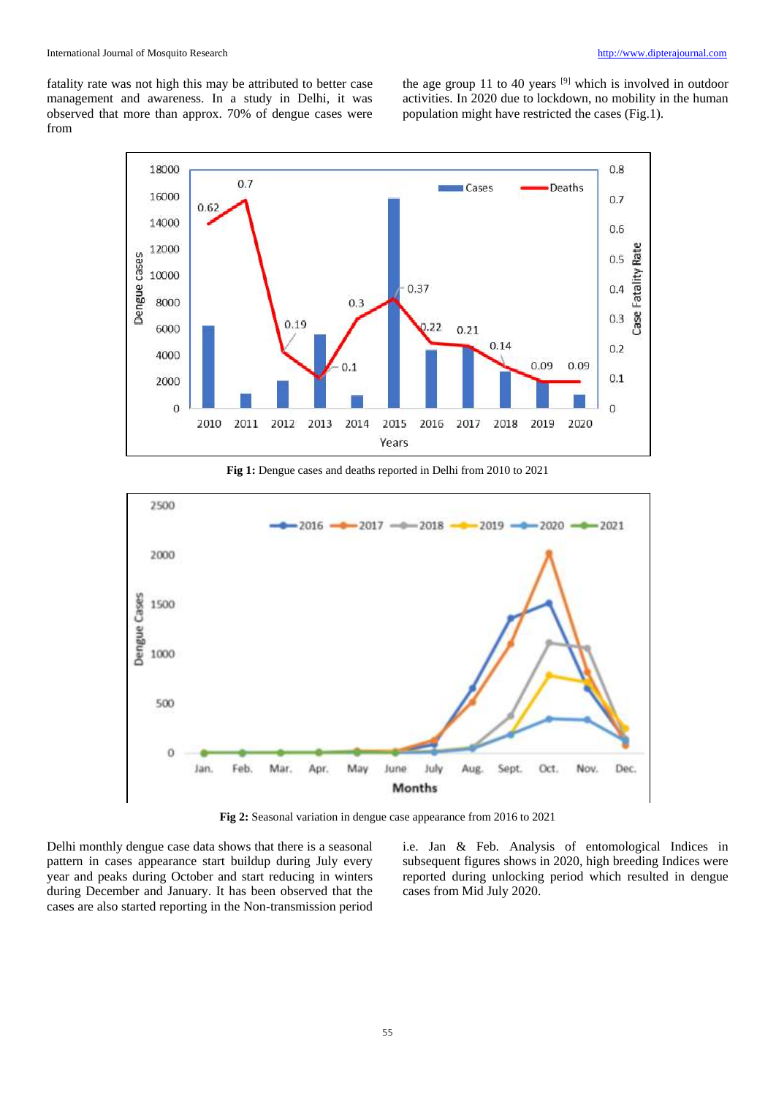fatality rate was not high this may be attributed to better case management and awareness. In a study in Delhi, it was observed that more than approx. 70% of dengue cases were from

the age group 11 to 40 years  $[9]$  which is involved in outdoor activities. In 2020 due to lockdown, no mobility in the human population might have restricted the cases (Fig.1).



**Fig 1:** Dengue cases and deaths reported in Delhi from 2010 to 2021



**Fig 2:** Seasonal variation in dengue case appearance from 2016 to 2021

Delhi monthly dengue case data shows that there is a seasonal pattern in cases appearance start buildup during July every year and peaks during October and start reducing in winters during December and January. It has been observed that the cases are also started reporting in the Non-transmission period i.e. Jan & Feb. Analysis of entomological Indices in subsequent figures shows in 2020, high breeding Indices were reported during unlocking period which resulted in dengue cases from Mid July 2020.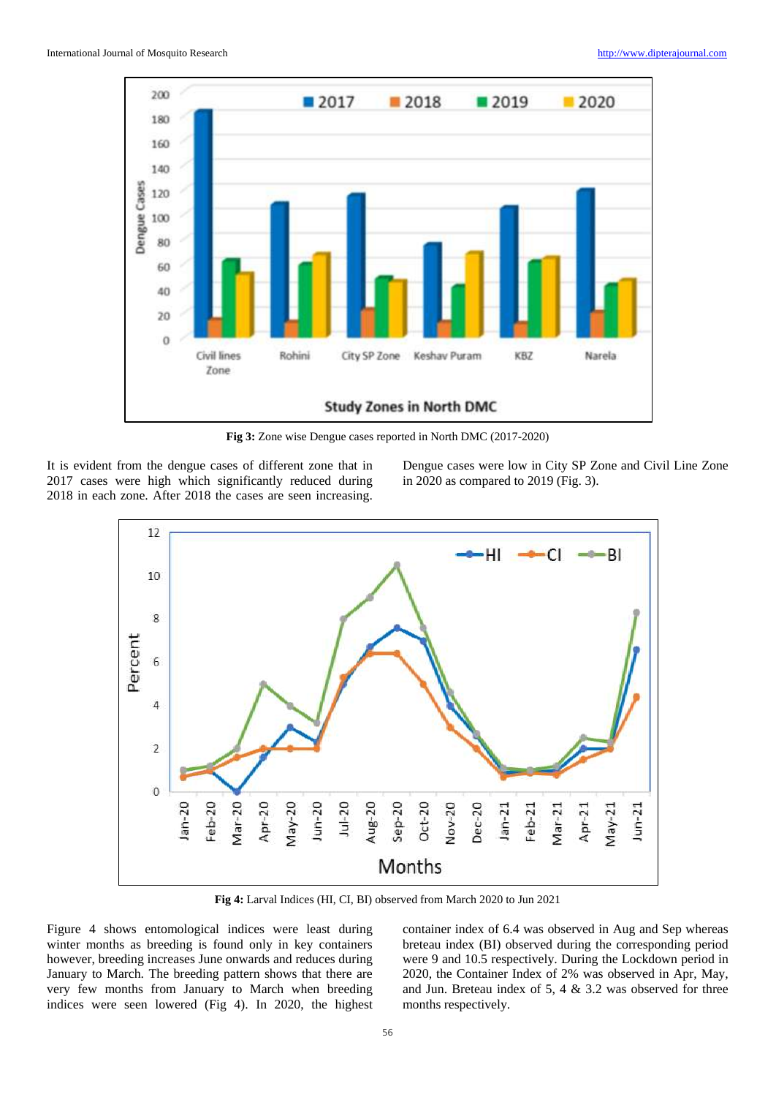

**Fig 3:** Zone wise Dengue cases reported in North DMC (2017-2020)

It is evident from the dengue cases of different zone that in 2017 cases were high which significantly reduced during 2018 in each zone. After 2018 the cases are seen increasing.

Dengue cases were low in City SP Zone and Civil Line Zone in 2020 as compared to 2019 (Fig. 3).



**Fig 4:** Larval Indices (HI, CI, BI) observed from March 2020 to Jun 2021

Figure 4 shows entomological indices were least during winter months as breeding is found only in key containers however, breeding increases June onwards and reduces during January to March. The breeding pattern shows that there are very few months from January to March when breeding indices were seen lowered (Fig 4). In 2020, the highest container index of 6.4 was observed in Aug and Sep whereas breteau index (BI) observed during the corresponding period were 9 and 10.5 respectively. During the Lockdown period in 2020, the Container Index of 2% was observed in Apr, May, and Jun. Breteau index of 5, 4 & 3.2 was observed for three months respectively.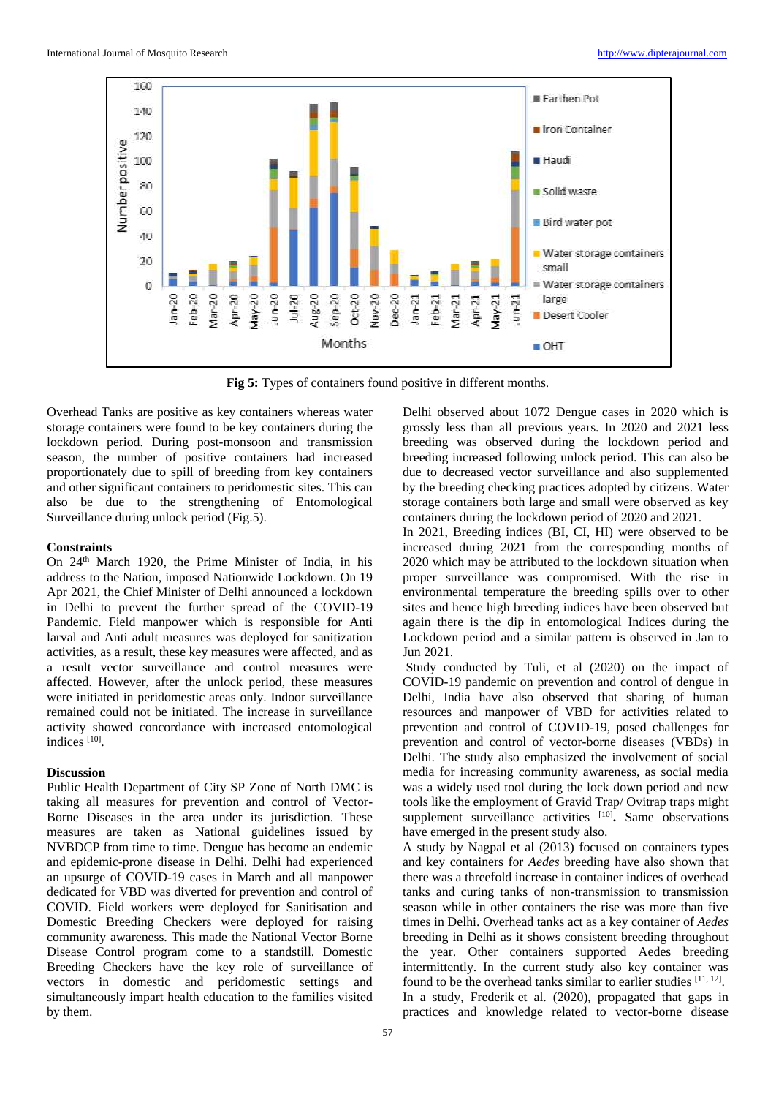

**Fig 5:** Types of containers found positive in different months.

Overhead Tanks are positive as key containers whereas water storage containers were found to be key containers during the lockdown period. During post-monsoon and transmission season, the number of positive containers had increased proportionately due to spill of breeding from key containers and other significant containers to peridomestic sites. This can also be due to the strengthening of Entomological Surveillance during unlock period (Fig.5).

#### **Constraints**

On 24th March 1920, the Prime Minister of India, in his address to the Nation, imposed Nationwide Lockdown. On 19 Apr 2021, the Chief Minister of Delhi announced a lockdown in Delhi to prevent the further spread of the COVID-19 Pandemic. Field manpower which is responsible for Anti larval and Anti adult measures was deployed for sanitization activities, as a result, these key measures were affected, and as a result vector surveillance and control measures were affected. However, after the unlock period, these measures were initiated in peridomestic areas only. Indoor surveillance remained could not be initiated. The increase in surveillance activity showed concordance with increased entomological indices<sup>[10]</sup>.

### **Discussion**

Public Health Department of City SP Zone of North DMC is taking all measures for prevention and control of Vector-Borne Diseases in the area under its jurisdiction. These measures are taken as National guidelines issued by NVBDCP from time to time. Dengue has become an endemic and epidemic-prone disease in Delhi. Delhi had experienced an upsurge of COVID-19 cases in March and all manpower dedicated for VBD was diverted for prevention and control of COVID. Field workers were deployed for Sanitisation and Domestic Breeding Checkers were deployed for raising community awareness. This made the National Vector Borne Disease Control program come to a standstill. Domestic Breeding Checkers have the key role of surveillance of vectors in domestic and peridomestic settings and simultaneously impart health education to the families visited by them.

Delhi observed about 1072 Dengue cases in 2020 which is grossly less than all previous years. In 2020 and 2021 less breeding was observed during the lockdown period and breeding increased following unlock period. This can also be due to decreased vector surveillance and also supplemented by the breeding checking practices adopted by citizens. Water storage containers both large and small were observed as key containers during the lockdown period of 2020 and 2021.

In 2021, Breeding indices (BI, CI, HI) were observed to be increased during 2021 from the corresponding months of 2020 which may be attributed to the lockdown situation when proper surveillance was compromised. With the rise in environmental temperature the breeding spills over to other sites and hence high breeding indices have been observed but again there is the dip in entomological Indices during the Lockdown period and a similar pattern is observed in Jan to Jun 2021.

Study conducted by Tuli, et al (2020) on the impact of COVID-19 pandemic on prevention and control of dengue in Delhi, India have also observed that sharing of human resources and manpower of VBD for activities related to prevention and control of COVID-19, posed challenges for prevention and control of vector-borne diseases (VBDs) in Delhi. The study also emphasized the involvement of social media for increasing community awareness, as social media was a widely used tool during the lock down period and new tools like the employment of Gravid Trap/ Ovitrap traps might supplement surveillance activities <sup>[10]</sup>. Same observations have emerged in the present study also.

A study by Nagpal et al (2013) focused on containers types and key containers for *Aedes* breeding have also shown that there was a threefold increase in container indices of overhead tanks and curing tanks of non-transmission to transmission season while in other containers the rise was more than five times in Delhi. Overhead tanks act as a key container of *Aedes* breeding in Delhi as it shows consistent breeding throughout the year. Other containers supported Aedes breeding intermittently. In the current study also key container was found to be the overhead tanks similar to earlier studies [11, 12]. In a study, Frederik et al. (2020), propagated that gaps in practices and knowledge related to vector-borne disease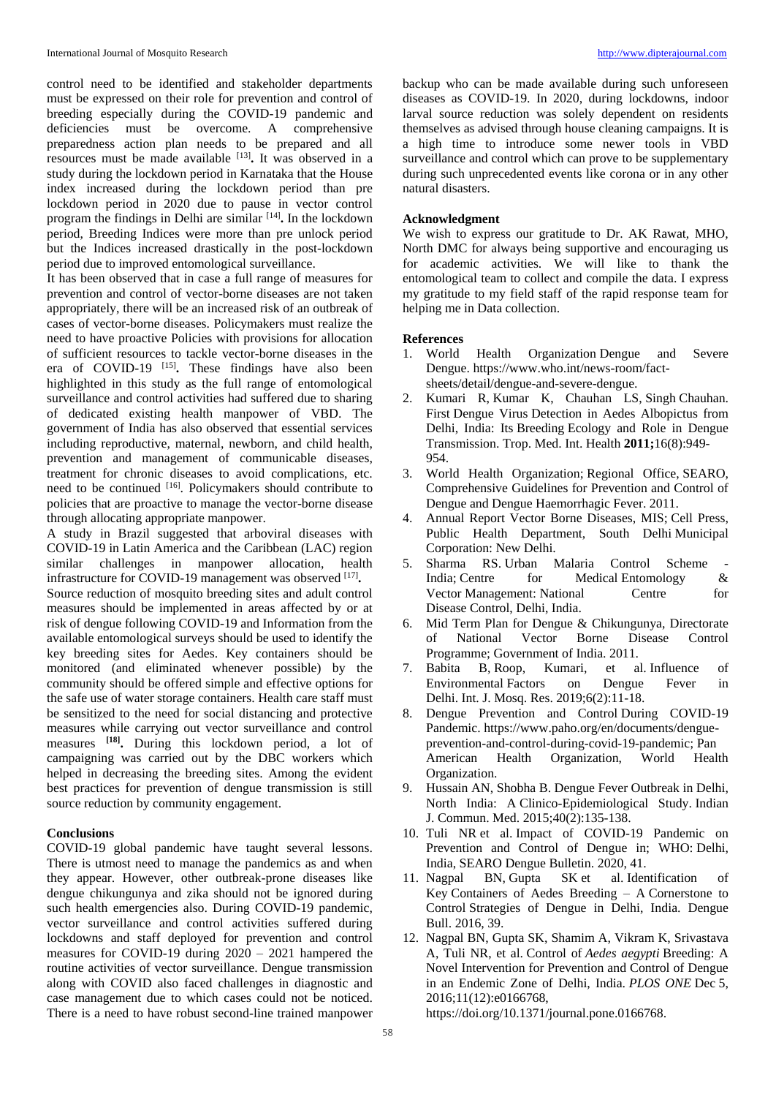control need to be identified and stakeholder departments must be expressed on their role for prevention and control of breeding especially during the COVID-19 pandemic and deficiencies must be overcome. A comprehensive preparedness action plan needs to be prepared and all resources must be made available <sup>[13]</sup>. It was observed in a study during the lockdown period in Karnataka that the House index increased during the lockdown period than pre lockdown period in 2020 due to pause in vector control program the findings in Delhi are similar [14] **.** In the lockdown period, Breeding Indices were more than pre unlock period but the Indices increased drastically in the post-lockdown period due to improved entomological surveillance.

It has been observed that in case a full range of measures for prevention and control of vector-borne diseases are not taken appropriately, there will be an increased risk of an outbreak of cases of vector-borne diseases. Policymakers must realize the need to have proactive Policies with provisions for allocation of sufficient resources to tackle vector-borne diseases in the era of COVID-19 [15] **.** These findings have also been highlighted in this study as the full range of entomological surveillance and control activities had suffered due to sharing of dedicated existing health manpower of VBD. The government of India has also observed that essential services including reproductive, maternal, newborn, and child health, prevention and management of communicable diseases, treatment for chronic diseases to avoid complications, etc. need to be continued [16]. Policymakers should contribute to policies that are proactive to manage the vector-borne disease through allocating appropriate manpower.

A study in Brazil suggested that arboviral diseases with COVID-19 in Latin America and the Caribbean (LAC) region similar challenges in manpower allocation, health infrastructure for COVID-19 management was observed [17]. Source reduction of mosquito breeding sites and adult control measures should be implemented in areas affected by or at risk of dengue following COVID-19 and Information from the available entomological surveys should be used to identify the key breeding sites for Aedes. Key containers should be monitored (and eliminated whenever possible) by the community should be offered simple and effective options for the safe use of water storage containers. Health care staff must be sensitized to the need for social distancing and protective measures while carrying out vector surveillance and control measures **[18] .** During this lockdown period, a lot of campaigning was carried out by the DBC workers which helped in decreasing the breeding sites. Among the evident best practices for prevention of dengue transmission is still source reduction by community engagement.

## **Conclusions**

COVID-19 global pandemic have taught several lessons. There is utmost need to manage the pandemics as and when they appear. However, other outbreak-prone diseases like dengue chikungunya and zika should not be ignored during such health emergencies also. During COVID-19 pandemic, vector surveillance and control activities suffered during lockdowns and staff deployed for prevention and control measures for COVID-19 during 2020 – 2021 hampered the routine activities of vector surveillance. Dengue transmission along with COVID also faced challenges in diagnostic and case management due to which cases could not be noticed. There is a need to have robust second-line trained manpower

backup who can be made available during such unforeseen diseases as COVID-19. In 2020, during lockdowns, indoor larval source reduction was solely dependent on residents themselves as advised through house cleaning campaigns. It is a high time to introduce some newer tools in VBD surveillance and control which can prove to be supplementary during such unprecedented events like corona or in any other natural disasters.

#### **Acknowledgment**

We wish to express our gratitude to Dr. AK Rawat, MHO, North DMC for always being supportive and encouraging us for academic activities. We will like to thank the entomological team to collect and compile the data. I express my gratitude to my field staff of the rapid response team for helping me in Data collection.

#### **References**

- 1. World Health Organization Dengue and Severe Dengue. https://www.who.int/news-room/factsheets/detail/dengue-and-severe-dengue.
- 2. Kumari R, Kumar K, Chauhan LS, Singh Chauhan. First Dengue Virus Detection in Aedes Albopictus from Delhi, India: Its Breeding Ecology and Role in Dengue Transmission. Trop. Med. Int. Health **2011;**16(8):949- 954.
- 3. World Health Organization; Regional Office, SEARO, Comprehensive Guidelines for Prevention and Control of Dengue and Dengue Haemorrhagic Fever. 2011.
- 4. Annual Report Vector Borne Diseases, MIS; Cell Press, Public Health Department, South Delhi Municipal Corporation: New Delhi.
- 5. Sharma RS. Urban Malaria Control Scheme India; Centre for Medical Entomology & Vector Management: National Centre for Disease Control, Delhi, India.
- 6. Mid Term Plan for Dengue & Chikungunya, Directorate of National Vector Borne Disease Control Programme; Government of India. 2011.
- 7. Babita B, Roop, Kumari, et al. Influence of Environmental Factors on Dengue Fever in Delhi. Int. J. Mosq. Res. 2019;6(2):11-18.
- 8. Dengue Prevention and Control During COVID-19 Pandemic. https://www.paho.org/en/documents/dengueprevention-and-control-during-covid-19-pandemic; Pan American Health Organization, World Health Organization.
- 9. Hussain AN, Shobha B. Dengue Fever Outbreak in Delhi, North India: A Clinico-Epidemiological Study. Indian J. Commun. Med. 2015;40(2):135-138.
- 10. Tuli NR et al. Impact of COVID-19 Pandemic on Prevention and Control of Dengue in; WHO: Delhi, India, SEARO Dengue Bulletin. 2020, 41.
- 11. Nagpal BN, Gupta SK et al. Identification of Key Containers of Aedes Breeding – A Cornerstone to Control Strategies of Dengue in Delhi, India. Dengue Bull. 2016, 39.
- 12. Nagpal BN, Gupta SK, Shamim A, Vikram K, Srivastava A, Tuli NR, et al. Control of *Aedes aegypti* Breeding: A Novel Intervention for Prevention and Control of Dengue in an Endemic Zone of Delhi, India. *PLOS ONE* Dec 5, 2016;11(12):e0166768,

https://doi.org/10.1371/journal.pone.0166768.